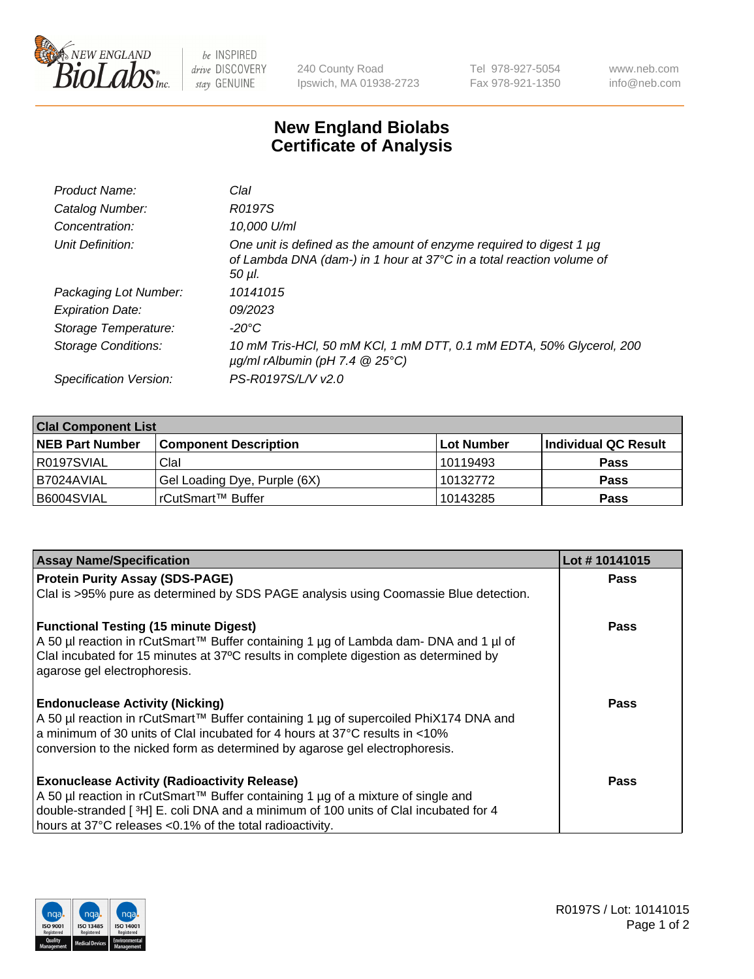

 $be$  INSPIRED drive DISCOVERY stay GENUINE

240 County Road Ipswich, MA 01938-2723 Tel 978-927-5054 Fax 978-921-1350 www.neb.com info@neb.com

## **New England Biolabs Certificate of Analysis**

| Product Name:              | Clal                                                                                                                                                  |
|----------------------------|-------------------------------------------------------------------------------------------------------------------------------------------------------|
| Catalog Number:            | R0197S                                                                                                                                                |
| Concentration:             | 10,000 U/ml                                                                                                                                           |
| Unit Definition:           | One unit is defined as the amount of enzyme required to digest 1 µg<br>of Lambda DNA (dam-) in 1 hour at 37°C in a total reaction volume of<br>50 µI. |
| Packaging Lot Number:      | 10141015                                                                                                                                              |
| <b>Expiration Date:</b>    | 09/2023                                                                                                                                               |
| Storage Temperature:       | $-20^{\circ}$ C                                                                                                                                       |
| <b>Storage Conditions:</b> | 10 mM Tris-HCl, 50 mM KCl, 1 mM DTT, 0.1 mM EDTA, 50% Glycerol, 200<br>$\mu$ g/ml rAlbumin (pH 7.4 $\circledR$ 25°C)                                  |
| Specification Version:     | PS-R0197S/L/V v2.0                                                                                                                                    |
|                            |                                                                                                                                                       |

| <b>Clal Component List</b> |                              |             |                       |  |  |
|----------------------------|------------------------------|-------------|-----------------------|--|--|
| <b>NEB Part Number</b>     | <b>Component Description</b> | ∣Lot Number | ∣Individual QC Result |  |  |
| R0197SVIAL                 | Clal                         | 10119493    | <b>Pass</b>           |  |  |
| I B7024AVIAL               | Gel Loading Dye, Purple (6X) | 10132772    | <b>Pass</b>           |  |  |
| B6004SVIAL                 | rCutSmart™ Buffer            | 10143285    | <b>Pass</b>           |  |  |

| <b>Assay Name/Specification</b>                                                                                      | Lot #10141015 |
|----------------------------------------------------------------------------------------------------------------------|---------------|
| <b>Protein Purity Assay (SDS-PAGE)</b>                                                                               | <b>Pass</b>   |
| Clal is >95% pure as determined by SDS PAGE analysis using Coomassie Blue detection.                                 |               |
| <b>Functional Testing (15 minute Digest)</b>                                                                         | <b>Pass</b>   |
| A 50 µl reaction in rCutSmart™ Buffer containing 1 µg of Lambda dam- DNA and 1 µl of                                 |               |
| Clal incubated for 15 minutes at 37°C results in complete digestion as determined by<br>agarose gel electrophoresis. |               |
|                                                                                                                      |               |
| <b>Endonuclease Activity (Nicking)</b>                                                                               | Pass          |
| A 50 µl reaction in rCutSmart™ Buffer containing 1 µg of supercoiled PhiX174 DNA and                                 |               |
| a minimum of 30 units of ClaI incubated for 4 hours at 37 $\degree$ C results in <10%                                |               |
| conversion to the nicked form as determined by agarose gel electrophoresis.                                          |               |
| <b>Exonuclease Activity (Radioactivity Release)</b>                                                                  | Pass          |
| A 50 µl reaction in rCutSmart™ Buffer containing 1 µg of a mixture of single and                                     |               |
| double-stranded [3H] E. coli DNA and a minimum of 100 units of Clal incubated for 4                                  |               |
| hours at 37°C releases <0.1% of the total radioactivity.                                                             |               |